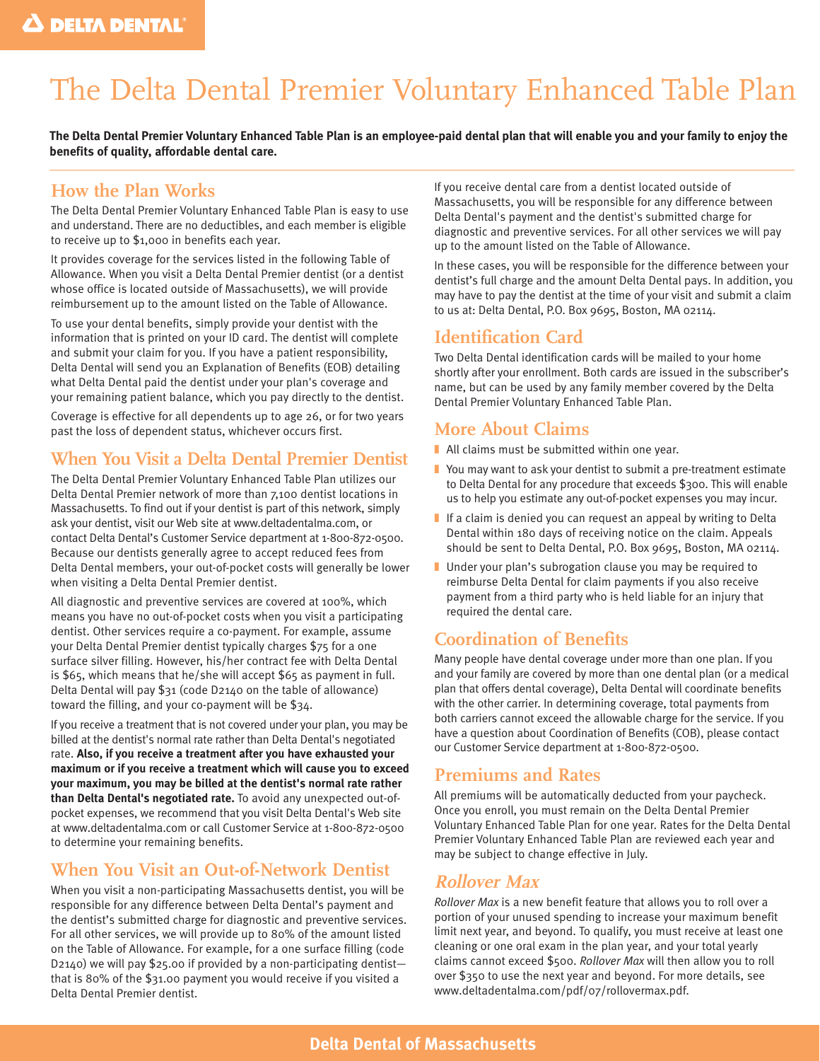# The Delta Dental Premier Voluntary Enhanced Table Plan

**The Delta Dental Premier Voluntary Enhanced Table Plan is an employee-paid dental plan that will enable you and your family to enjoy the benefits of quality, affordable dental care.**

## **How the Plan Works**

The Delta Dental Premier Voluntary Enhanced Table Plan is easy to use and understand. There are no deductibles, and each member is eligible to receive up to \$1,000 in benefits each year.

It provides coverage for the services listed in the following Table of Allowance. When you visit a Delta Dental Premier dentist (or a dentist whose office is located outside of Massachusetts), we will provide reimbursement up to the amount listed on the Table of Allowance.

To use your dental benefits, simply provide your dentist with the information that is printed on your ID card. The dentist will complete and submit your claim for you. If you have a patient responsibility, Delta Dental will send you an Explanation of Benefits (EOB) detailing what Delta Dental paid the dentist under your plan's coverage and your remaining patient balance, which you pay directly to the dentist.

Coverage is effective for all dependents up to age 26, or for two years past the loss of dependent status, whichever occurs first.

## **When You Visit a Delta Dental Premier Dentist**

The Delta Dental Premier Voluntary Enhanced Table Plan utilizes our Delta Dental Premier network of more than 7,100 dentist locations in Massachusetts. To find out if your dentist is part of this network, simply ask your dentist, visit our Web site at www.deltadentalma.com, or contact Delta Dental's Customer Service department at 1-800-872-0500. Because our dentists generally agree to accept reduced fees from Delta Dental members, your out-of-pocket costs will generally be lower when visiting a Delta Dental Premier dentist.

All diagnostic and preventive services are covered at 100%, which means you have no out-of-pocket costs when you visit a participating dentist. Other services require a co-payment. For example, assume your Delta Dental Premier dentist typically charges \$75 for a one surface silver filling. However, his/her contract fee with Delta Dental is \$65, which means that he/she will accept \$65 as payment in full. Delta Dental will pay \$31 (code D2140 on the table of allowance) toward the filling, and your co-payment will be \$34.

If you receive a treatment that is not covered under your plan, you may be billed at the dentist's normal rate rather than Delta Dental's negotiated rate. **Also, if you receive a treatment after you have exhausted your maximum or if you receive a treatment which will cause you to exceed your maximum, you may be billed at the dentist's normal rate rather than Delta Dental's negotiated rate.** To avoid any unexpected out-ofpocket expenses, we recommend that you visit Delta Dental's Web site at www.deltadentalma.com or call Customer Service at 1-800-872-0500 to determine your remaining benefits.

## **When You Visit an Out-of-Network Dentist**

When you visit a non-participating Massachusetts dentist, you will be responsible for any difference between Delta Dental's payment and the dentist's submitted charge for diagnostic and preventive services. For all other services, we will provide up to 80% of the amount listed on the Table of Allowance. For example, for a one surface filling (code D2140) we will pay \$25.00 if provided by a non-participating dentist that is 80% of the \$31.00 payment you would receive if you visited a Delta Dental Premier dentist.

If you receive dental care from a dentist located outside of Massachusetts, you will be responsible for any difference between Delta Dental's payment and the dentist's submitted charge for diagnostic and preventive services. For all other services we will pay up to the amount listed on the Table of Allowance.

In these cases, you will be responsible for the difference between your dentist's full charge and the amount Delta Dental pays. In addition, you may have to pay the dentist at the time of your visit and submit a claim to us at: Delta Dental, P.O. Box 9695, Boston, MA 02114.

## **Identification Card**

Two Delta Dental identification cards will be mailed to your home shortly after your enrollment. Both cards are issued in the subscriber's name, but can be used by any family member covered by the Delta Dental Premier Voluntary Enhanced Table Plan.

## **More About Claims**

- All claims must be submitted within one year.
- $\blacksquare$  You may want to ask your dentist to submit a pre-treatment estimate to Delta Dental for any procedure that exceeds \$300. This will enable us to help you estimate any out-of-pocket expenses you may incur.
- $\blacksquare$  If a claim is denied you can request an appeal by writing to Delta Dental within 180 days of receiving notice on the claim. Appeals should be sent to Delta Dental, P.O. Box 9695, Boston, MA 02114.
- Under your plan's subrogation clause you may be required to reimburse Delta Dental for claim payments if you also receive payment from a third party who is held liable for an injury that required the dental care.

## **Coordination of Benefits**

Many people have dental coverage under more than one plan. If you and your family are covered by more than one dental plan (or a medical plan that offers dental coverage), Delta Dental will coordinate benefits with the other carrier. In determining coverage, total payments from both carriers cannot exceed the allowable charge for the service. If you have a question about Coordination of Benefits (COB), please contact our Customer Service department at 1-800-872-0500.

## **Premiums and Rates**

All premiums will be automatically deducted from your paycheck. Once you enroll, you must remain on the Delta Dental Premier Voluntary Enhanced Table Plan for one year. Rates for the Delta Dental Premier Voluntary Enhanced Table Plan are reviewed each year and may be subject to change effective in July.

## **Rollover Max**

*Rollover Max* is a new benefit feature that allows you to roll over a portion of your unused spending to increase your maximum benefit limit next year, and beyond. To qualify, you must receive at least one cleaning or one oral exam in the plan year, and your total yearly claims cannot exceed \$500. *Rollover Max* will then allow you to roll over \$350 to use the next year and beyond. For more details, see www.deltadentalma.com/pdf/07/rollovermax.pdf.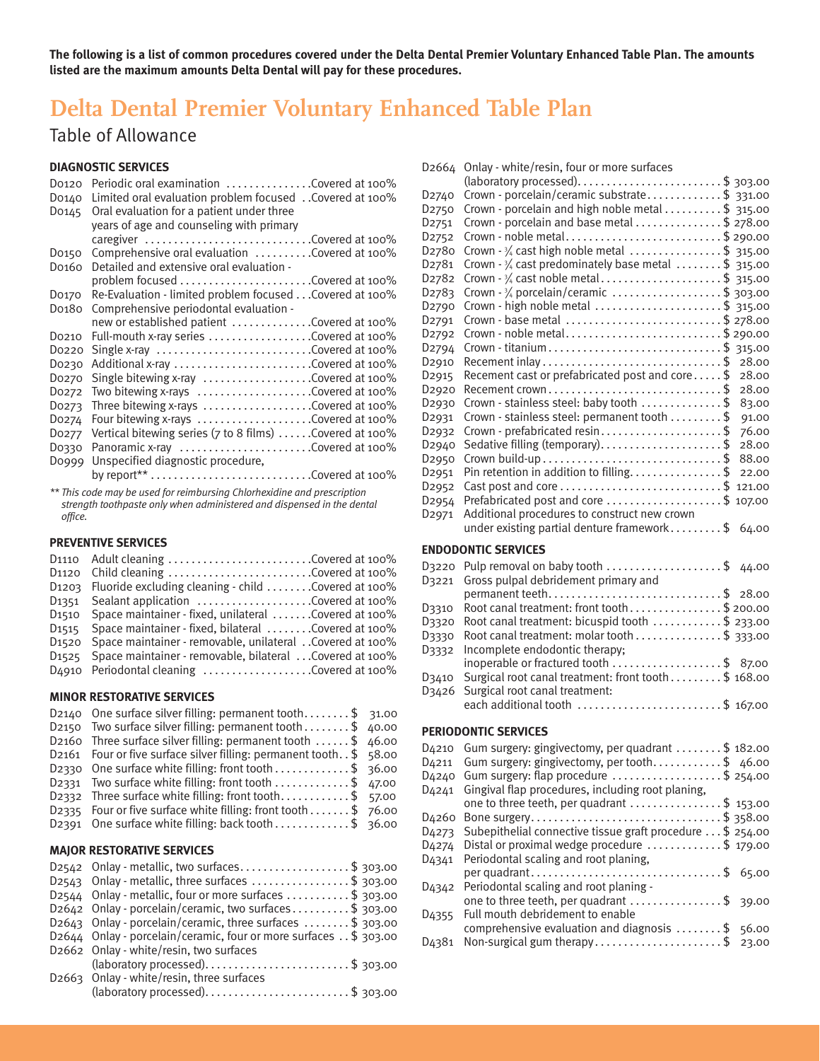**The following is a list of common procedures covered under the Delta Dental Premier Voluntary Enhanced Table Plan. The amounts listed are the maximum amounts Delta Dental will pay for these procedures.**

## **Delta Dental Premier Voluntary Enhanced Table Plan**

## Table of Allowance

### **DIAGNOSTIC SERVICES**

| Do <sub>120</sub><br>D0140<br>Do <sub>145</sub>                          | Periodic oral examination Covered at 100%<br>Limited oral evaluation problem focused Covered at 100%<br>Oral evaluation for a patient under three |  |
|--------------------------------------------------------------------------|---------------------------------------------------------------------------------------------------------------------------------------------------|--|
|                                                                          | years of age and counseling with primary<br>caregiver $\ldots \ldots \ldots \ldots \ldots \ldots \ldots \ldots$ . Covered at 100%                 |  |
| Do <sub>150</sub>                                                        | Comprehensive oral evaluation Covered at 100%                                                                                                     |  |
| Do <sub>160</sub>                                                        | Detailed and extensive oral evaluation -                                                                                                          |  |
|                                                                          |                                                                                                                                                   |  |
| Do <sub>170</sub>                                                        | Re-Evaluation - limited problem focused Covered at 100%                                                                                           |  |
| Do <sub>180</sub>                                                        | Comprehensive periodontal evaluation -                                                                                                            |  |
|                                                                          | new or established patient Covered at 100%                                                                                                        |  |
| Do210                                                                    | Full-mouth x-ray series Covered at 100%                                                                                                           |  |
| Do220                                                                    | Single x-ray Covered at 100%                                                                                                                      |  |
| Do230                                                                    | Additional x-ray Covered at 100%                                                                                                                  |  |
| Do <sub>270</sub>                                                        | Single bitewing x-ray Covered at 100%                                                                                                             |  |
| Do <sub>272</sub>                                                        | Two bitewing x-rays Covered at 100%                                                                                                               |  |
| Do <sub>273</sub>                                                        | Three bitewing x-rays $\dots\dots\dots\dots\dots\dots$                                                                                            |  |
| Do274                                                                    | Four bitewing x-rays Covered at 100%                                                                                                              |  |
| Do277                                                                    | Vertical bitewing series ( $7$ to 8 films) $\ldots$ . Covered at 100%                                                                             |  |
| Do330                                                                    | Panoramic x-ray Covered at 100%                                                                                                                   |  |
| Doggg                                                                    | Unspecified diagnostic procedure,                                                                                                                 |  |
|                                                                          | by report** Covered at 100%                                                                                                                       |  |
| ** This sade way ha used for rejude waive Chlorkeviding and proceptation |                                                                                                                                                   |  |

*\*\* This code may be used for reimbursing Chlorhexidine and prescription strength toothpaste only when administered and dispensed in the dental office.*

### **PREVENTIVE SERVICES**

| D1110 Adult cleaning Covered at 100%                                   |  |
|------------------------------------------------------------------------|--|
| D1120 Child cleaning Covered at 100%                                   |  |
| D1203 Fluoride excluding cleaning - child Covered at 100%              |  |
| D1351 Sealant application Covered at 100%                              |  |
| D <sub>1510</sub> Space maintainer - fixed, unilateral Covered at 100% |  |
| D <sub>1515</sub> Space maintainer - fixed, bilateral Covered at 100%  |  |
| D1520 Space maintainer - removable, unilateral Covered at 100%         |  |
| D1525 Space maintainer - removable, bilateral  Covered at 100%         |  |
| D4910 Periodontal cleaning Covered at 100%                             |  |

### **MINOR RESTORATIVE SERVICES**

| D2140 One surface silver filling: permanent tooth $\frac{1}{3}$ 31.00        |  |
|------------------------------------------------------------------------------|--|
| D2150 Two surface silver filling: permanent tooth $\dots \dots$ \$ 40.00     |  |
| D2160 Three surface silver filling: permanent tooth $\dots$ . \$ 46.00       |  |
| D2161 Four or five surface silver filling: permanent tooth. \$ 58.00         |  |
| D2330 One surface white filling: front tooth $\dots\dots\dots\dots$ \$ 36.00 |  |
| D2331 Two surface white filling: front tooth $\ldots \ldots \ldots$ \$ 47.00 |  |
| D2332 Three surface white filling: front tooth\$ 57.00                       |  |
| D2335 Four or five surface white filling: front tooth $\ldots$ , \$ 76.00    |  |
| D2391 One surface white filling: back tooth $\ldots$ \$ 36.00                |  |

### **MAJOR RESTORATIVE SERVICES**

| D2542 Onlay - metallic, two surfaces\$ 303.00                      |
|--------------------------------------------------------------------|
| D2543 Onlay - metallic, three surfaces \$ 303.00                   |
| $D2544$ Onlay - metallic, four or more surfaces \$ 303.00          |
| D2642 Onlay - porcelain/ceramic, two surfaces\$ 303.00             |
| D2643 Onlay - porcelain/ceramic, three surfaces \$ 303.00          |
| D2644 Onlay - porcelain/ceramic, four or more surfaces . \$ 303.00 |
| D2662 Onlay - white/resin, two surfaces                            |
| $(laboratory processed)$ \$ 303.00                                 |
| D <sub>2663</sub> Onlay - white/resin, three surfaces              |
|                                                                    |
|                                                                    |

| D2664                          | Onlay - white/resin, four or more surfaces                                             |       |
|--------------------------------|----------------------------------------------------------------------------------------|-------|
|                                |                                                                                        |       |
| D <sub>2740</sub>              | Crown - porcelain/ceramic substrate\$ 331.00                                           |       |
| D <sub>2750</sub>              | Crown - porcelain and high noble metal \$ 315.00                                       |       |
| D <sub>2751</sub>              | Crown - porcelain and base metal \$ 278.00                                             |       |
| D <sub>2752</sub>              | Crown - noble metal\$ 290.00                                                           |       |
| D <sub>27</sub> 80             | Crown - 3/4 cast high noble metal \$ 315.00                                            |       |
| D <sub>27</sub> 81             | Crown $-3/4$ cast predominately base metal \$ 315.00                                   |       |
| D <sub>27</sub> 8 <sub>2</sub> | Crown - 3/4 cast noble metal\$ 315.00                                                  |       |
| D <sub>27</sub> 83             | Crown $-3/4$ porcelain/ceramic \$ 303.00                                               |       |
| D <sub>2790</sub>              | Crown - high noble metal \$ 315.00                                                     |       |
| D <sub>2791</sub>              | Crown - base metal \$ 278.00                                                           |       |
| D <sub>2792</sub>              | Crown - noble metal\$ 290.00                                                           |       |
| D <sub>2794</sub>              | Crown - titanium\$ 315.00                                                              |       |
| D <sub>2910</sub>              |                                                                                        | 28.00 |
| D <sub>2915</sub>              | Recement cast or prefabricated post and core\$                                         | 28.00 |
| D <sub>2920</sub>              | Recement crown\$                                                                       | 28.00 |
| D <sub>2930</sub>              | Crown - stainless steel: baby tooth \$                                                 | 83.00 |
| D <sub>2931</sub>              | Crown - stainless steel: permanent tooth \$                                            | 91.00 |
| D <sub>2932</sub>              | Crown - prefabricated resin\$                                                          | 76.00 |
| D <sub>2940</sub>              |                                                                                        | 28.00 |
| D <sub>2950</sub>              |                                                                                        | 88.00 |
| D <sub>2951</sub>              | Pin retention in addition to filling\$                                                 | 22.00 |
| D <sub>2952</sub>              |                                                                                        |       |
| D <sub>2954</sub>              | Prefabricated post and core \$ 107.00                                                  |       |
| D <sub>2971</sub>              | Additional procedures to construct new crown                                           |       |
|                                | under existing partial denture framework\$ 64.00                                       |       |
|                                | <b>ENDODONTIC SERVICES</b>                                                             |       |
|                                |                                                                                        |       |
|                                |                                                                                        |       |
| D3220                          | Pulp removal on baby tooth \$                                                          | 44.00 |
| D3221                          | Gross pulpal debridement primary and                                                   |       |
|                                | permanent teeth\$                                                                      | 28.00 |
| D3310                          | Root canal treatment: front tooth\$200.00                                              |       |
| D3320                          | Root canal treatment: bicuspid tooth \$ 233.00                                         |       |
| D3330                          | Root canal treatment: molar tooth \$ 333.00                                            |       |
| D3332                          | Incomplete endodontic therapy;                                                         |       |
|                                | inoperable or fractured tooth \$ 87.00                                                 |       |
| D3410                          | Surgical root canal treatment: front tooth \$ 168.00                                   |       |
| D3426                          | Surgical root canal treatment:                                                         |       |
|                                | each additional tooth \$ 167.00                                                        |       |
|                                | <b>PERIODONTIC SERVICES</b>                                                            |       |
|                                |                                                                                        |       |
|                                | D4210 Gum surgery: gingivectomy, per quadrant \$ 182.00                                |       |
|                                | D4211 Gum surgery: gingivectomy, per tooth\$ 46.00                                     |       |
| D <sub>4240</sub>              | Gum surgery: flap procedure \$ 254.00                                                  |       |
| D <sub>4241</sub>              | Gingival flap procedures, including root planing,                                      |       |
|                                | one to three teeth, per quadrant $\dots\dots\dots\dots\dots$ \$ 153.00                 |       |
| D <sub>4260</sub>              | Bone surgery\$ 358.00                                                                  |       |
| D <sub>4273</sub>              | Subepithelial connective tissue graft procedure \$ 254.00                              |       |
| D <sub>4274</sub>              | Distal or proximal wedge procedure \$ 179.00                                           |       |
| D <sub>4341</sub>              | Periodontal scaling and root planing,                                                  | 65.00 |
| D4342                          | per quadrant\$<br>Periodontal scaling and root planing -                               |       |
|                                | one to three teeth, per quadrant \$                                                    | 39.00 |
|                                | Full mouth debridement to enable                                                       |       |
| D <sub>4355</sub>              | comprehensive evaluation and diagnosis $\dots\dots\dots$<br>Non-surgical gum therapy\$ | 56.00 |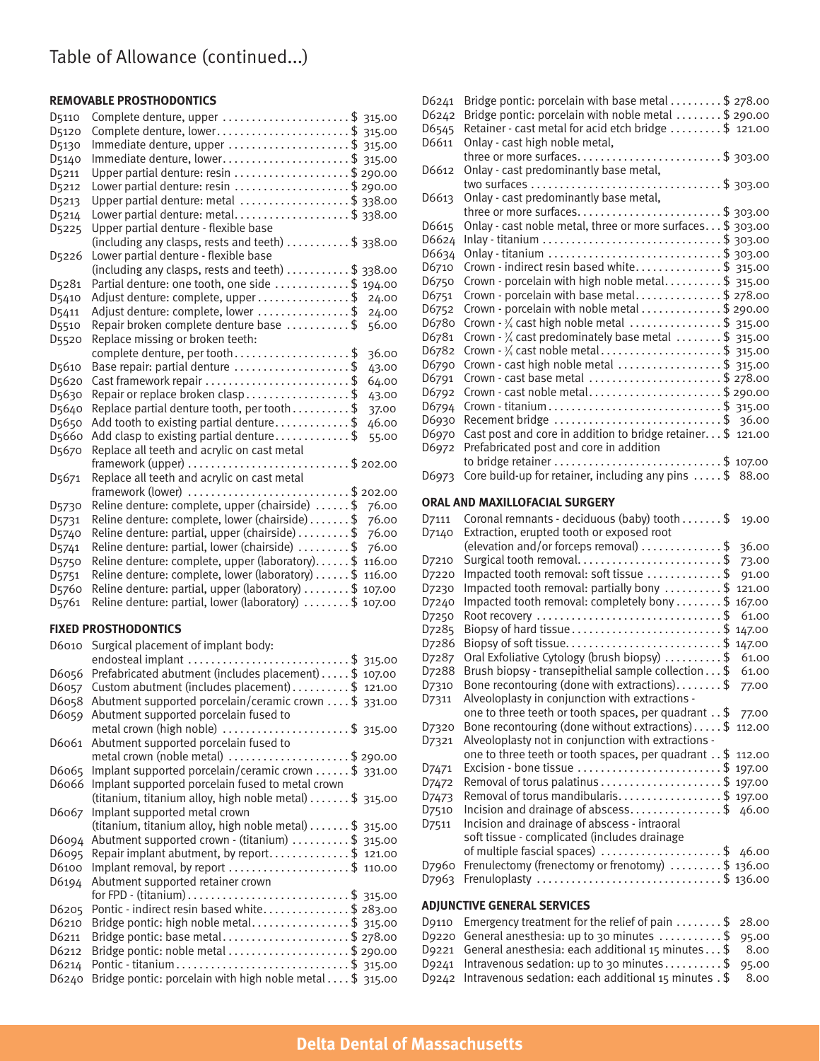## Table of Allowance (continued...)

### **REMOVABLE PROSTHODONTICS**

| D5110              | Complete denture, upper \$ 315.00                                   |
|--------------------|---------------------------------------------------------------------|
| D <sub>5120</sub>  | Complete denture, lower\$ 315.00                                    |
| D5130              | Immediate denture, upper \$ 315.00                                  |
| D5140              | Immediate denture, lower\$ 315.00                                   |
| D <sub>5211</sub>  | Upper partial denture: resin \$ 290.00                              |
| D <sub>5212</sub>  | Lower partial denture: resin \$ 290.00                              |
| D <sub>5213</sub>  | Upper partial denture: metal \$ 338.00                              |
| D <sub>5214</sub>  | Lower partial denture: metal\$ 338.00                               |
| D <sub>5225</sub>  | Upper partial denture - flexible base                               |
|                    | (including any clasps, rests and teeth) \$ 338.00                   |
| D <sub>5226</sub>  | Lower partial denture - flexible base                               |
|                    | (including any clasps, rests and teeth) $\dots\dots\dots$ \$ 338.00 |
| D <sub>52</sub> 81 | Partial denture: one tooth, one side \$ 194.00                      |
| D <sub>5410</sub>  | Adjust denture: complete, upper \$<br>24.00                         |
| D <sub>5411</sub>  | Adjust denture: complete, lower \$<br>24.00                         |
| D <sub>5510</sub>  | Repair broken complete denture base \$<br>56.00                     |
| D <sub>5520</sub>  | Replace missing or broken teeth:                                    |
|                    | complete denture, per tooth\$<br>36.00                              |
| D <sub>5610</sub>  | Base repair: partial denture \$<br>43.00                            |
| D <sub>5620</sub>  | Cast framework repair \$<br>64.00                                   |
| D5630              | Repair or replace broken clasp\$<br>43.00                           |
| D <sub>5640</sub>  | Replace partial denture tooth, per tooth \$<br>37.00                |
| D5650              | Add tooth to existing partial denture\$<br>46.00                    |
| D <sub>5660</sub>  | Add clasp to existing partial denture\$<br>55.00                    |
| D <sub>5670</sub>  | Replace all teeth and acrylic on cast metal                         |
|                    | framework (upper) \$ 202.00                                         |
| D <sub>5671</sub>  | Replace all teeth and acrylic on cast metal                         |
|                    | framework (lower)<br>$\ldots$ \$ 202.00                             |
| D <sub>5730</sub>  | Reline denture: complete, upper (chairside) \$<br>76.00             |
| D <sub>5731</sub>  | Reline denture: complete, lower (chairside) \$<br>76.00             |
| D <sub>5740</sub>  | Reline denture: partial, upper (chairside) \$<br>76.00              |
| D <sub>5741</sub>  | Reline denture: partial, lower (chairside) \$<br>76.00              |
| D <sub>5750</sub>  | Reline denture: complete, upper (laboratory)\$ 116.00               |
| D <sub>5751</sub>  | Reline denture: complete, lower (laboratory) \$ 116.00              |
| D <sub>5760</sub>  | Reline denture: partial, upper (laboratory) \$ 107.00               |
| D <sub>5761</sub>  | Reline denture: partial, lower (laboratory) \$ 107.00               |

### **FIXED PROSTHODONTICS**

| D6010 | Surgical placement of implant body:                                  |
|-------|----------------------------------------------------------------------|
|       | endosteal implant \$ 315.00                                          |
| D6056 | Prefabricated abutment (includes placement) \$ 107.00                |
| D6057 | Custom abutment (includes placement)\$ 121.00                        |
| D6058 | Abutment supported porcelain/ceramic crown \$ 331.00                 |
| D6059 | Abutment supported porcelain fused to                                |
|       | metal crown (high noble) $\ldots$ \$ 315.00                          |
| D6061 | Abutment supported porcelain fused to                                |
|       | metal crown (noble metal) \$ 290.00                                  |
| D6065 | Implant supported porcelain/ceramic crown  \$ 331.00                 |
| D6066 | Implant supported porcelain fused to metal crown                     |
|       | (titanium, titanium alloy, high noble metal) $\dots \dots$ \$ 315.00 |
| D6067 | Implant supported metal crown                                        |
|       | (titanium, titanium alloy, high noble metal) $\dots \dots$ \$ 315.00 |
| D6094 | Abutment supported crown - (titanium) \$ 315.00                      |
| D6095 | Repair implant abutment, by report\$ 121.00                          |
| D6100 | Implant removal, by report \$ 110.00                                 |
| D6194 | Abutment supported retainer crown                                    |
|       |                                                                      |
| D6205 | Pontic - indirect resin based white\$ 283.00                         |
| D6210 | Bridge pontic: high noble metal\$ 315.00                             |
| D6211 | Bridge pontic: base metal\$ 278.00                                   |
| D6212 | Bridge pontic: noble metal \$ 290.00                                 |
| D6214 | Pontic - titanium\$ 315.00                                           |
| D6240 | Bridge pontic: porcelain with high noble metal $\dots$ \$ 315.00     |

| D6241                          | Bridge pontic: porcelain with base metal $\ldots \ldots$ \$ 278.00       |  |
|--------------------------------|--------------------------------------------------------------------------|--|
| D6242                          | Bridge pontic: porcelain with noble metal \$ 290.00                      |  |
| D6545                          | Retainer - cast metal for acid etch bridge \$ 121.00                     |  |
| D6611                          | Onlay - cast high noble metal,                                           |  |
|                                | three or more surfaces\$ 303.00                                          |  |
| D6612                          | Onlay - cast predominantly base metal,                                   |  |
|                                | two surfaces \$ 303.00                                                   |  |
| D6613                          | Onlay - cast predominantly base metal,                                   |  |
|                                | three or more surfaces\$ 303.00                                          |  |
| D6615                          | Onlay - cast noble metal, three or more surfaces \$ 303.00               |  |
| D6624                          |                                                                          |  |
| D6634                          |                                                                          |  |
| D6710                          | Crown - indirect resin based white\$ 315.00                              |  |
| D6750                          | Crown - porcelain with high noble metal\$ 315.00                         |  |
| D6751                          | Crown - porcelain with base metal\$ 278.00                               |  |
| D6752                          | Crown - porcelain with noble metal \$ 290.00                             |  |
| D6780                          | Crown $-3/4$ cast high noble metal \$ 315.00                             |  |
| D6781                          | Crown $-3/4$ cast predominately base metal $\ldots \ldots \quad $315.00$ |  |
| D6782                          | Crown - $\frac{3}{4}$ cast noble metal\$ 315.00                          |  |
| D6790                          | Crown - cast high noble metal \$ 315.00                                  |  |
| D6791                          | Crown - cast base metal \$ 278.00                                        |  |
| D6792                          | Crown - cast noble metal\$ 290.00                                        |  |
| D6794                          |                                                                          |  |
| D6930                          | Recement bridge \$ 36.00                                                 |  |
| D6970                          | Cast post and core in addition to bridge retainer \$121.00               |  |
| D6972                          | Prefabricated post and core in addition                                  |  |
|                                | to bridge retainer \$ 107.00                                             |  |
| D6973                          | Core build-up for retainer, including any pins  \$ 88.00                 |  |
| ORAL AND MAXILLOFACIAL SURGERY |                                                                          |  |
| D7111                          | Coronal remnants - deciduous (baby) tooth \$ 19.00                       |  |
| D7140                          | Extraction, erupted tooth or exposed root                                |  |

| <b>DITI</b>        | $\frac{1}{2}$                                                                                 |        |
|--------------------|-----------------------------------------------------------------------------------------------|--------|
| D7140              | Extraction, erupted tooth or exposed root                                                     |        |
|                    | (elevation and/or forceps removal) $\dots\dots\dots\dots$ \$                                  | 36.00  |
| D <sub>7210</sub>  | Surgical tooth removal\$                                                                      | 73.00  |
| D7220              | Impacted tooth removal: soft tissue \$                                                        | 91.00  |
| D7230              | Impacted tooth removal: partially bony \$ 121.00                                              |        |
| D7240              | Impacted tooth removal: completely bony \$ 167.00                                             |        |
| D <sub>7250</sub>  |                                                                                               | 61.00  |
| D7285              | Biopsy of hard tissue\$                                                                       | 147.00 |
| D7286              | Biopsy of soft tissue\$                                                                       | 147.00 |
| D7287              | Oral Exfoliative Cytology (brush biopsy) \$                                                   | 61.00  |
| D <sub>72</sub> 88 | Brush biopsy - transepithelial sample collection\$                                            | 61.00  |
| D7310              | Bone recontouring (done with extractions) $\frac{1}{2}$                                       | 77.00  |
| D7311              | Alveoloplasty in conjunction with extractions -                                               |        |
|                    | one to three teeth or tooth spaces, per quadrant $.5$ 77.00                                   |        |
| D7320              | Bone recontouring (done without extractions) $\frac{1}{2}$ 112.00                             |        |
| D7321              | Alveoloplasty not in conjunction with extractions -                                           |        |
|                    | one to three teeth or tooth spaces, per quadrant $.5$ 112.00                                  |        |
| D <sub>7471</sub>  | Excision - bone tissue $\ldots$ \$ 197.00                                                     |        |
| D <sub>7472</sub>  | Removal of torus palatinus $\ldots$ \$ 197.00                                                 |        |
| D7473              | Removal of torus mandibularis\$ 197.00                                                        |        |
| D7510              | Incision and drainage of abscess\$ 46.00                                                      |        |
| D7511              | Incision and drainage of abscess - intraoral                                                  |        |
|                    | soft tissue - complicated (includes drainage                                                  |        |
|                    | of multiple fascial spaces) $\ldots$ \$ 46.00                                                 |        |
| D7960              | Frenulectomy (frenectomy or frenotomy) \$ 136.00                                              |        |
| D7963              | Frenuloplasty $\ldots \ldots \ldots \ldots \ldots \ldots \ldots \ldots \ldots \quad $ 136.00$ |        |
|                    |                                                                                               |        |

### **ADJUNCTIVE GENERAL SERVICES**

| D9110 Emergency treatment for the relief of pain $\ldots \ldots$ , \$ 28.00 |  |
|-----------------------------------------------------------------------------|--|
| D9220 General anesthesia: up to 30 minutes $\dots \dots \dots$ \$ 95.00     |  |
| D9221 General anesthesia: each additional 15 minutes $\frac{1}{2}$ 8.00     |  |
| D9241 Intravenous sedation: up to 30 minutes\$ 95.00                        |  |
| D9242 Intravenous sedation: each additional 15 minutes $\sqrt{5}$ 8.00      |  |
|                                                                             |  |